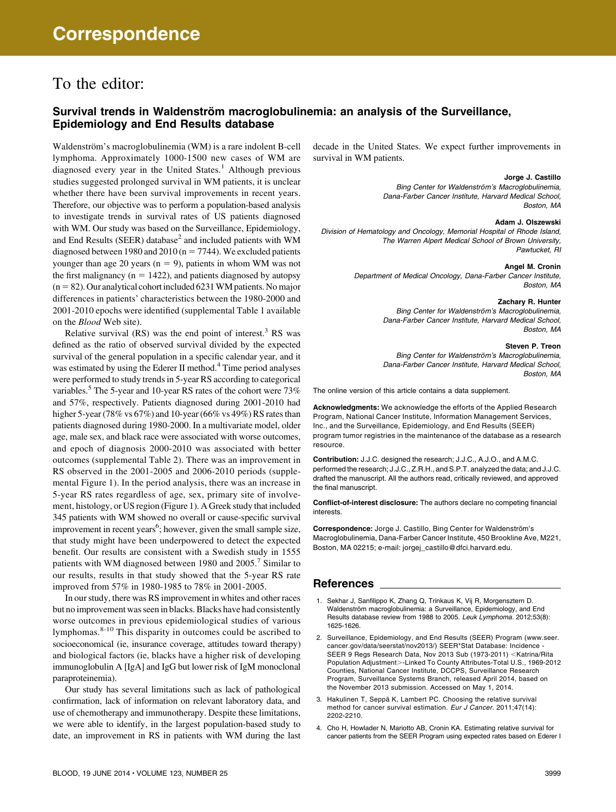# To the editor:

# Survival trends in Waldenström macroglobulinemia: an analysis of the Surveillance, Epidemiology and End Results database

Waldenström's macroglobulinemia (WM) is a rare indolent B-cell lymphoma. Approximately 1000-1500 new cases of WM are diagnosed every year in the United States.<sup>1</sup> Although previous studies suggested prolonged survival in WM patients, it is unclear whether there have been survival improvements in recent years. Therefore, our objective was to perform a population-based analysis to investigate trends in survival rates of US patients diagnosed with WM. Our study was based on the Surveillance, Epidemiology, and End Results ( $SEER$ ) database<sup>2</sup> and included patients with WM diagnosed between 1980 and 2010 ( $n = 7744$ ). We excluded patients younger than age 20 years ( $n = 9$ ), patients in whom WM was not the first malignancy ( $n = 1422$ ), and patients diagnosed by autopsy  $(n = 82)$ . Our analytical cohort included 6231 WM patients. No major differences in patients' characteristics between the 1980-2000 and 2001-2010 epochs were identified (supplemental Table 1 available on the Blood Web site).

Relative survival  $(RS)$  was the end point of interest.<sup>3</sup> RS was defined as the ratio of observed survival divided by the expected survival of the general population in a specific calendar year, and it was estimated by using the Ederer II method.<sup>4</sup> Time period analyses were performed to study trends in 5-year RS according to categorical variables.<sup>5</sup> The 5-year and 10-year RS rates of the cohort were 73% and 57%, respectively. Patients diagnosed during 2001-2010 had higher 5-year (78% vs 67%) and 10-year (66% vs 49%) RS rates than patients diagnosed during 1980-2000. In a multivariate model, older age, male sex, and black race were associated with worse outcomes, and epoch of diagnosis 2000-2010 was associated with better outcomes (supplemental Table 2). There was an improvement in RS observed in the 2001-2005 and 2006-2010 periods (supplemental Figure 1). In the period analysis, there was an increase in 5-year RS rates regardless of age, sex, primary site of involvement, histology, or US region (Figure 1). A Greek study that included 345 patients with WM showed no overall or cause-specific survival improvement in recent years<sup>6</sup>; however, given the small sample size, that study might have been underpowered to detect the expected benefit. Our results are consistent with a Swedish study in 1555 patients with WM diagnosed between 1980 and 2005.<sup>7</sup> Similar to our results, results in that study showed that the 5-year RS rate improved from 57% in 1980-1985 to 78% in 2001-2005.

In our study, there was RS improvement in whites and other races but no improvement was seen in blacks. Blacks have had consistently worse outcomes in previous epidemiological studies of various lymphomas.8-10 This disparity in outcomes could be ascribed to socioeconomical (ie, insurance coverage, attitudes toward therapy) and biological factors (ie, blacks have a higher risk of developing immunoglobulin A [IgA] and IgG but lower risk of IgM monoclonal paraproteinemia).

Our study has several limitations such as lack of pathological confirmation, lack of information on relevant laboratory data, and use of chemotherapy and immunotherapy. Despite these limitations, we were able to identify, in the largest population-based study to date, an improvement in RS in patients with WM during the last decade in the United States. We expect further improvements in survival in WM patients.

#### Jorge J. Castillo

Bing Center for Waldenström's Macroglobulinemia, Dana-Farber Cancer Institute, Harvard Medical School, Boston, MA

#### Adam J. Olszewski

Division of Hematology and Oncology, Memorial Hospital of Rhode Island, The Warren Alpert Medical School of Brown University, Pawtucket, RI

#### Angel M. Cronin

Department of Medical Oncology, Dana-Farber Cancer Institute, Boston, MA

## Zachary R. Hunter

Bing Center for Waldenström's Macroglobulinemia, Dana-Farber Cancer Institute, Harvard Medical School, Boston, MA

#### Steven P. Treon

Bing Center for Waldenström's Macroglobulinemia, Dana-Farber Cancer Institute, Harvard Medical School, Boston, MA

The online version of this article contains a data supplement.

Acknowledgments: We acknowledge the efforts of the Applied Research Program, National Cancer Institute, Information Management Services, Inc., and the Surveillance, Epidemiology, and End Results (SEER) program tumor registries in the maintenance of the database as a research resource.

Contribution: J.J.C. designed the research; J.J.C., A.J.O., and A.M.C. performed the research; J.J.C., Z.R.H., and S.P.T. analyzed the data; and J.J.C. drafted the manuscript. All the authors read, critically reviewed, and approved the final manuscript.

Conflict-of-interest disclosure: The authors declare no competing financial interests.

Correspondence: Jorge J. Castillo, Bing Center for Waldenström's Macroglobulinemia, Dana-Farber Cancer Institute, 450 Brookline Ave, M221, Boston, MA 02215; e-mail: [jorgej\\_castillo@dfci.harvard.edu](mailto:jorgej_castillo@dfci.harvard.edu<?A3B2 tpb=0.01pt?>).

### References

- 1. Sekhar J, Sanfilippo K, Zhang Q, Trinkaus K, Vij R, Morgensztern D. Waldenström macroglobulinemia: a Surveillance, Epidemiology, and End Results database review from 1988 to 2005. Leuk Lymphoma. 2012;53(8): 1625-1626.
- 2. Surveillance, Epidemiology, and End Results (SEER) Program ([www.seer.](http://www.seer.cancer.gov/data/seerstat/nov2013/) [cancer.gov/data/seerstat/nov2013/](http://www.seer.cancer.gov/data/seerstat/nov2013/)) SEER\*Stat Database: Incidence - SEER 9 Regs Research Data, Nov 2013 Sub (1973-2011) <Katrina/Rita Population Adjustment>-Linked To County Attributes-Total U.S., 1969-2012 Counties, National Cancer Institute, DCCPS, Surveillance Research Program, Surveillance Systems Branch, released April 2014, based on the November 2013 submission. Accessed on May 1, 2014.
- 3. Hakulinen T, Seppä K, Lambert PC. Choosing the relative survival method for cancer survival estimation. Eur J Cancer. 2011;47(14): 2202-2210.
- 4. Cho H, Howlader N, Mariotto AB, Cronin KA. Estimating relative survival for cancer patients from the SEER Program using expected rates based on Ederer I